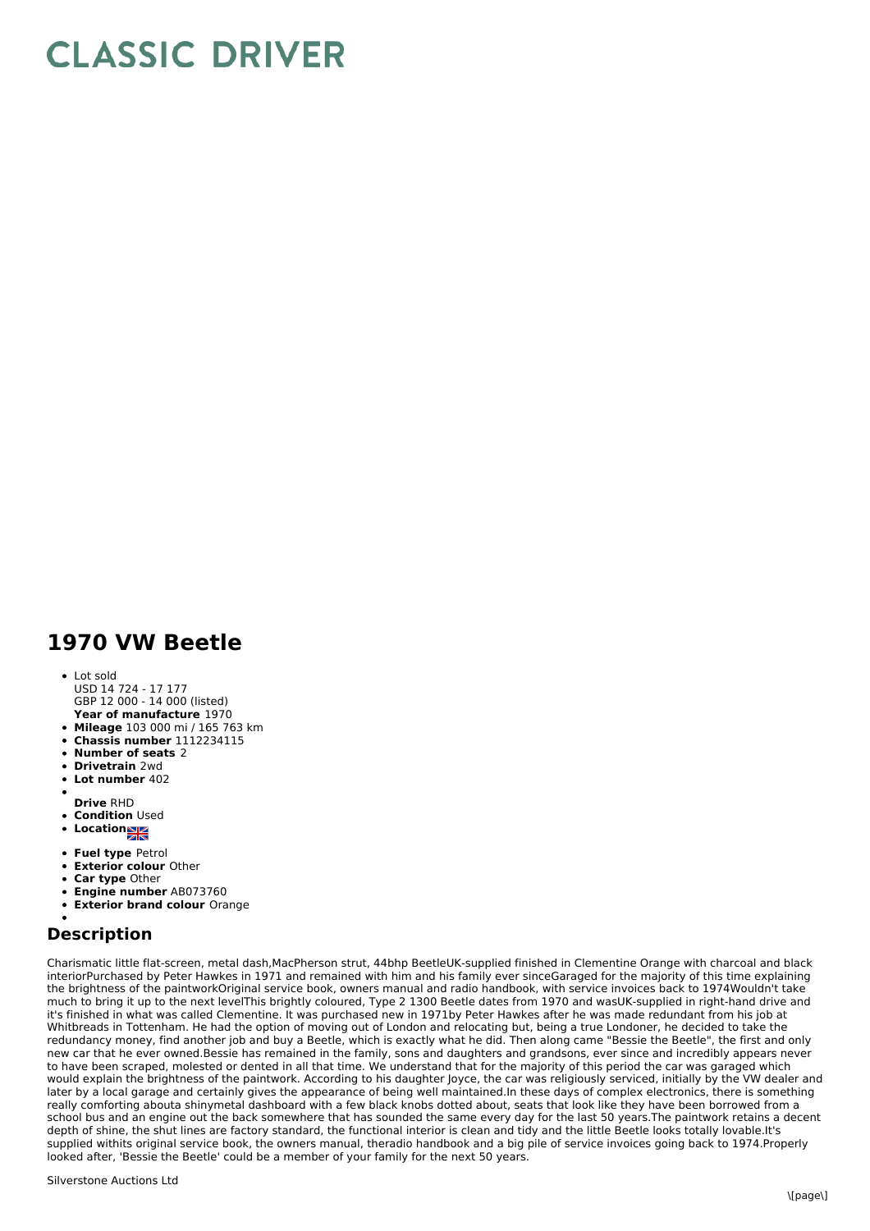## **CLASSIC DRIVER**

## **1970 VW Beetle**

Lot sold USD 14 724 - 17 177

**Year of manufacture** 1970 GBP 12 000 - 14 000 (listed)

- **Mileage** 103 000 mi / 165 763 km
- **Chassis number** 1112234115
- **Number of seats** 2
- **Drivetrain** 2wd
- **Lot number** 402
- 
- **Drive** RHD
- **Condition Used**
- **•** Location
- **Fuel type** Petrol
- **Exterior colour** Other
- **Car type** Other
- **Engine number** AB073760
- **Exterior brand colour** Orange

## **Description**

Charismatic little flat-screen, metal dash,MacPherson strut, 44bhp BeetleUK-supplied finished in Clementine Orange with charcoal and black interiorPurchased by Peter Hawkes in 1971 and remained with him and his family ever sinceGaraged for the majority of this time explaining the brightness of the paintworkOriginal service book, owners manual and radio handbook, with service invoices back to 1974Wouldn't take much to bring it up to the next levelThis brightly coloured, Type 2 1300 Beetle dates from 1970 and wasUK-supplied in right-hand drive and it's finished in what was called Clementine. It was purchased new in 1971by Peter Hawkes after he was made redundant from his job at Whitbreads in Tottenham. He had the option of moving out of London and relocating but, being a true Londoner, he decided to take the redundancy money, find another job and buy a Beetle, which is exactly what he did. Then along came "Bessie the Beetle", the first and only new car that he ever owned.Bessie has remained in the family, sons and daughters and grandsons, ever since and incredibly appears never to have been scraped, molested or dented in all that time. We understand that for the majority of this period the car was garaged which would explain the brightness of the paintwork. According to his daughter Joyce, the car was religiously serviced, initially by the VW dealer and later by a local garage and certainly gives the appearance of being well maintained.In these days of complex electronics, there is something really comforting abouta shinymetal dashboard with a few black knobs dotted about, seats that look like they have been borrowed from a school bus and an engine out the back somewhere that has sounded the same every day for the last 50 years.The paintwork retains a decent depth of shine, the shut lines are factory standard, the functional interior is clean and tidy and the little Beetle looks totally lovable.It's supplied withits original service book, the owners manual, theradio handbook and a big pile of service invoices going back to 1974.Properly looked after, 'Bessie the Beetle' could be a member of your family for the next 50 years.